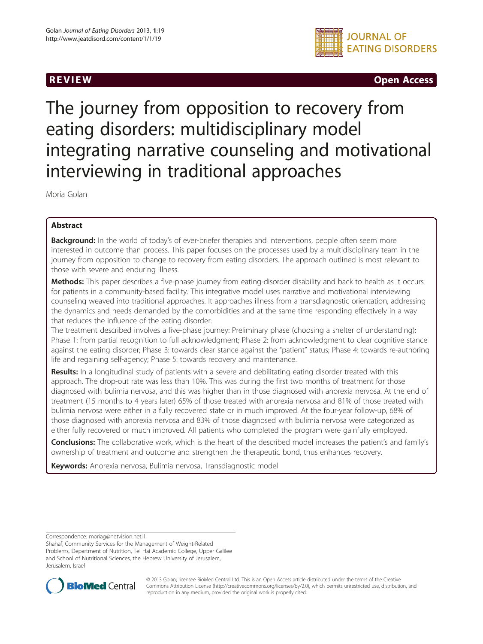

**REVIEW CONSIDERING CONSIDERING CONSIDERING CONSIDERING CONSIDERING CONSIDERING CONSIDERING CONSIDERING CONSIDERING CONSIDERING CONSIDERING CONSIDERING CONSIDERING CONSIDERING CONSIDERING CONSIDERING CONSIDERING CONSIDER** 

# The journey from opposition to recovery from eating disorders: multidisciplinary model integrating narrative counseling and motivational interviewing in traditional approaches

Moria Golan

# Abstract

Background: In the world of today's of ever-briefer therapies and interventions, people often seem more interested in outcome than process. This paper focuses on the processes used by a multidisciplinary team in the journey from opposition to change to recovery from eating disorders. The approach outlined is most relevant to those with severe and enduring illness.

Methods: This paper describes a five-phase journey from eating-disorder disability and back to health as it occurs for patients in a community-based facility. This integrative model uses narrative and motivational interviewing counseling weaved into traditional approaches. It approaches illness from a transdiagnostic orientation, addressing the dynamics and needs demanded by the comorbidities and at the same time responding effectively in a way that reduces the influence of the eating disorder.

The treatment described involves a five-phase journey: Preliminary phase (choosing a shelter of understanding); Phase 1: from partial recognition to full acknowledgment; Phase 2: from acknowledgment to clear cognitive stance against the eating disorder; Phase 3: towards clear stance against the "patient" status; Phase 4: towards re-authoring life and regaining self-agency; Phase 5: towards recovery and maintenance.

Results: In a longitudinal study of patients with a severe and debilitating eating disorder treated with this approach. The drop-out rate was less than 10%. This was during the first two months of treatment for those diagnosed with bulimia nervosa, and this was higher than in those diagnosed with anorexia nervosa. At the end of treatment (15 months to 4 years later) 65% of those treated with anorexia nervosa and 81% of those treated with bulimia nervosa were either in a fully recovered state or in much improved. At the four-year follow-up, 68% of those diagnosed with anorexia nervosa and 83% of those diagnosed with bulimia nervosa were categorized as either fully recovered or much improved. All patients who completed the program were gainfully employed.

Conclusions: The collaborative work, which is the heart of the described model increases the patient's and family's ownership of treatment and outcome and strengthen the therapeutic bond, thus enhances recovery.

Keywords: Anorexia nervosa, Bulimia nervosa, Transdiagnostic model

Correspondence: [moriag@netvision.net.il](mailto:moriag@netvision.net.il)

Shahaf, Community Services for the Management of Weight-Related Problems, Department of Nutrition, Tel Hai Academic College, Upper Galilee and School of Nutritional Sciences, the Hebrew University of Jerusalem, Jerusalem, Israel



© 2013 Golan; licensee BioMed Central Ltd. This is an Open Access article distributed under the terms of the Creative Commons Attribution License [\(http://creativecommons.org/licenses/by/2.0\)](http://creativecommons.org/licenses/by/2.0), which permits unrestricted use, distribution, and reproduction in any medium, provided the original work is properly cited.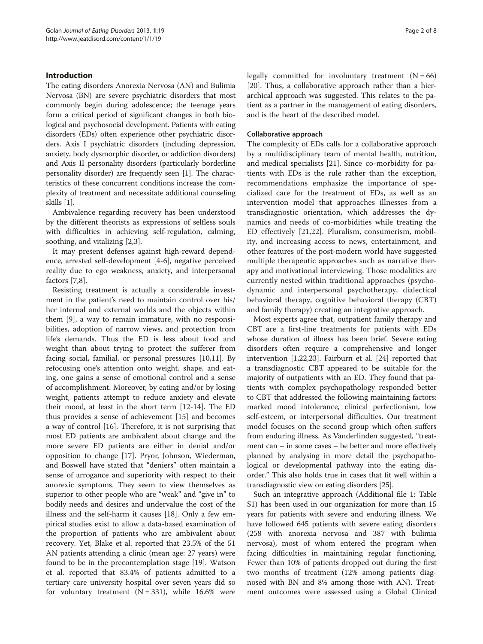### Introduction

The eating disorders Anorexia Nervosa (AN) and Bulimia Nervosa (BN) are severe psychiatric disorders that most commonly begin during adolescence; the teenage years form a critical period of significant changes in both biological and psychosocial development. Patients with eating disorders (EDs) often experience other psychiatric disorders. Axis I psychiatric disorders (including depression, anxiety, body dysmorphic disorder, or addiction disorders) and Axis II personality disorders (particularly borderline personality disorder) are frequently seen [[1\]](#page-7-0). The characteristics of these concurrent conditions increase the complexity of treatment and necessitate additional counseling skills [[1\]](#page-7-0).

Ambivalence regarding recovery has been understood by the different theorists as expressions of selfless souls with difficulties in achieving self-regulation, calming, soothing, and vitalizing [[2,3\]](#page-7-0).

It may present defenses against high-reward dependence, arrested self-development [[4-6](#page-7-0)], negative perceived reality due to ego weakness, anxiety, and interpersonal factors [\[7,8](#page-7-0)].

Resisting treatment is actually a considerable investment in the patient's need to maintain control over his/ her internal and external worlds and the objects within them [[9\]](#page-7-0), a way to remain immature, with no responsibilities, adoption of narrow views, and protection from life's demands. Thus the ED is less about food and weight than about trying to protect the sufferer from facing social, familial, or personal pressures [[10,11\]](#page-7-0). By refocusing one's attention onto weight, shape, and eating, one gains a sense of emotional control and a sense of accomplishment. Moreover, by eating and/or by losing weight, patients attempt to reduce anxiety and elevate their mood, at least in the short term [[12-14](#page-7-0)]. The ED thus provides a sense of achievement [[15](#page-7-0)] and becomes a way of control [[16](#page-7-0)]. Therefore, it is not surprising that most ED patients are ambivalent about change and the more severe ED patients are either in denial and/or opposition to change [[17\]](#page-7-0). Pryor, Johnson, Wiederman, and Boswell have stated that "deniers" often maintain a sense of arrogance and superiority with respect to their anorexic symptoms. They seem to view themselves as superior to other people who are "weak" and "give in" to bodily needs and desires and undervalue the cost of the illness and the self-harm it causes [[18\]](#page-7-0). Only a few empirical studies exist to allow a data-based examination of the proportion of patients who are ambivalent about recovery. Yet, Blake et al. reported that 23.5% of the 51 AN patients attending a clinic (mean age: 27 years) were found to be in the precontemplation stage [[19\]](#page-7-0). Watson et al. reported that 83.4% of patients admitted to a tertiary care university hospital over seven years did so for voluntary treatment  $(N = 331)$ , while 16.6% were

legally committed for involuntary treatment  $(N = 66)$ [[20\]](#page-7-0). Thus, a collaborative approach rather than a hierarchical approach was suggested. This relates to the patient as a partner in the management of eating disorders, and is the heart of the described model.

#### Collaborative approach

The complexity of EDs calls for a collaborative approach by a multidisciplinary team of mental health, nutrition, and medical specialists [[21\]](#page-7-0). Since co-morbidity for patients with EDs is the rule rather than the exception, recommendations emphasize the importance of specialized care for the treatment of EDs, as well as an intervention model that approaches illnesses from a transdiagnostic orientation, which addresses the dynamics and needs of co-morbidities while treating the ED effectively [[21,22\]](#page-7-0). Pluralism, consumerism, mobility, and increasing access to news, entertainment, and other features of the post-modern world have suggested multiple therapeutic approaches such as narrative therapy and motivational interviewing. Those modalities are currently nested within traditional approaches (psychodynamic and interpersonal psychotherapy, dialectical behavioral therapy, cognitive behavioral therapy (CBT) and family therapy) creating an integrative approach.

Most experts agree that, outpatient family therapy and CBT are a first-line treatments for patients with EDs whose duration of illness has been brief. Severe eating disorders often require a comprehensive and longer intervention [[1,22,23\]](#page-7-0). Fairburn et al. [[24\]](#page-7-0) reported that a transdiagnostic CBT appeared to be suitable for the majority of outpatients with an ED. They found that patients with complex psychopathology responded better to CBT that addressed the following maintaining factors: marked mood intolerance, clinical perfectionism, low self-esteem, or interpersonal difficulties. Our treatment model focuses on the second group which often suffers from enduring illness. As Vanderlinden suggested, "treatment can – in some cases – be better and more effectively planned by analysing in more detail the psychopathological or developmental pathway into the eating disorder." This also holds true in cases that fit well within a transdiagnostic view on eating disorders [[25](#page-7-0)].

Such an integrative approach (Additional file [1](#page-6-0): Table S1) has been used in our organization for more than 15 years for patients with severe and enduring illness. We have followed 645 patients with severe eating disorders (258 with anorexia nervosa and 387 with bulimia nervosa), most of whom entered the program when facing difficulties in maintaining regular functioning. Fewer than 10% of patients dropped out during the first two months of treatment (12% among patients diagnosed with BN and 8% among those with AN). Treatment outcomes were assessed using a Global Clinical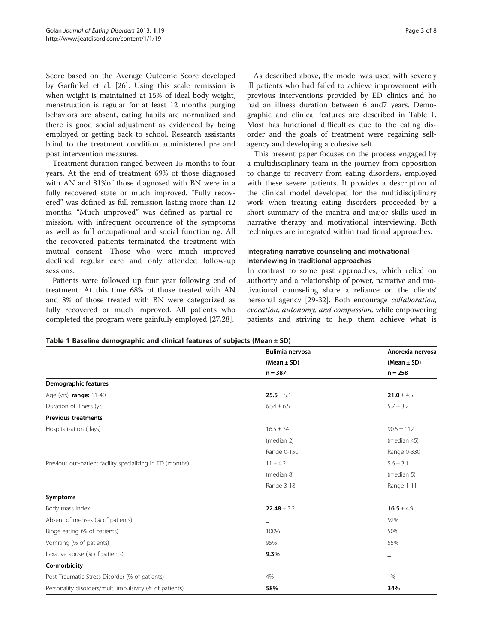Score based on the Average Outcome Score developed by Garfinkel et al. [\[26](#page-7-0)]. Using this scale remission is when weight is maintained at 15% of ideal body weight, menstruation is regular for at least 12 months purging behaviors are absent, eating habits are normalized and there is good social adjustment as evidenced by being employed or getting back to school. Research assistants blind to the treatment condition administered pre and post intervention measures.

Treatment duration ranged between 15 months to four years. At the end of treatment 69% of those diagnosed with AN and 81%of those diagnosed with BN were in a fully recovered state or much improved. "Fully recovered" was defined as full remission lasting more than 12 months. "Much improved" was defined as partial remission, with infrequent occurrence of the symptoms as well as full occupational and social functioning. All the recovered patients terminated the treatment with mutual consent. Those who were much improved declined regular care and only attended follow-up sessions.

Patients were followed up four year following end of treatment. At this time 68% of those treated with AN and 8% of those treated with BN were categorized as fully recovered or much improved. All patients who completed the program were gainfully employed [[27](#page-7-0),[28](#page-7-0)].

As described above, the model was used with severely ill patients who had failed to achieve improvement with previous interventions provided by ED clinics and ho had an illness duration between 6 and7 years. Demographic and clinical features are described in Table 1. Most has functional difficulties due to the eating disorder and the goals of treatment were regaining selfagency and developing a cohesive self.

This present paper focuses on the process engaged by a multidisciplinary team in the journey from opposition to change to recovery from eating disorders, employed with these severe patients. It provides a description of the clinical model developed for the multidisciplinary work when treating eating disorders proceeded by a short summary of the mantra and major skills used in narrative therapy and motivational interviewing. Both techniques are integrated within traditional approaches.

# Integrating narrative counseling and motivational interviewing in traditional approaches

In contrast to some past approaches, which relied on authority and a relationship of power, narrative and motivational counseling share a reliance on the clients' personal agency [\[29](#page-7-0)-[32\]](#page-7-0). Both encourage collaboration, evocation, autonomy, and compassion, while empowering patients and striving to help them achieve what is

|  |  | Table 1 Baseline demographic and clinical features of subjects (Mean ± SD) |  |  |  |  |  |
|--|--|----------------------------------------------------------------------------|--|--|--|--|--|
|--|--|----------------------------------------------------------------------------|--|--|--|--|--|

|                                                           | <b>Bulimia nervosa</b>   | Anorexia nervosa<br>(Mean $\pm$ SD) |  |
|-----------------------------------------------------------|--------------------------|-------------------------------------|--|
|                                                           | (Mean $\pm$ SD)          |                                     |  |
|                                                           | $n = 387$                | $n = 258$                           |  |
| Demographic features                                      |                          |                                     |  |
| Age (yrs), range: 11-40                                   | $25.5 \pm 5.1$           | <b>21.0</b> $\pm$ 4.5               |  |
| Duration of Illness (yr.)                                 | $6.54 \pm 6.5$           | $5.7 \pm 3.2$                       |  |
| <b>Previous treatments</b>                                |                          |                                     |  |
| Hospitalization (days)                                    | $16.5 \pm 34$            | $90.5 \pm 112$                      |  |
|                                                           | (median 2)               | (median 45)                         |  |
|                                                           | Range 0-150              | Range 0-330                         |  |
| Previous out-patient facility specializing in ED (months) | $11 \pm 4.2$             | $5.6 \pm 3.1$                       |  |
|                                                           | (median 8)               | (median 5)                          |  |
|                                                           | Range 3-18               | Range 1-11                          |  |
| Symptoms                                                  |                          |                                     |  |
| Body mass index                                           | $22.48 \pm 3.2$          | 16.5 $\pm$ 4.9                      |  |
| Absent of menses (% of patients)                          | $\overline{\phantom{0}}$ | 92%                                 |  |
| Binge eating (% of patients)                              | 100%                     | 50%                                 |  |
| Vomiting (% of patients)                                  | 95%                      | 55%                                 |  |
| Laxative abuse (% of patients)                            | 9.3%                     |                                     |  |
| Co-morbidity                                              |                          |                                     |  |
| Post-Traumatic Stress Disorder (% of patients)            | 4%                       | 1%                                  |  |
| Personality disorders/multi impulsivity (% of patients)   | 58%                      | 34%                                 |  |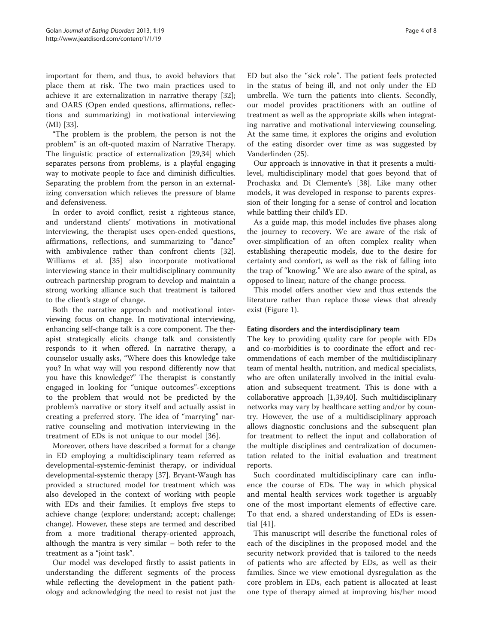important for them, and thus, to avoid behaviors that place them at risk. The two main practices used to achieve it are externalization in narrative therapy [\[32](#page-7-0)]; and OARS (Open ended questions, affirmations, reflections and summarizing) in motivational interviewing (MI) [[33](#page-7-0)].

"The problem is the problem, the person is not the problem" is an oft-quoted maxim of Narrative Therapy. The linguistic practice of externalization [[29](#page-7-0),[34](#page-7-0)] which separates persons from problems, is a playful engaging way to motivate people to face and diminish difficulties. Separating the problem from the person in an externalizing conversation which relieves the pressure of blame and defensiveness.

In order to avoid conflict, resist a righteous stance, and understand clients' motivations in motivational interviewing, the therapist uses open-ended questions, affirmations, reflections, and summarizing to "dance" with ambivalence rather than confront clients [\[32](#page-7-0)]. Williams et al. [\[35\]](#page-7-0) also incorporate motivational interviewing stance in their multidisciplinary community outreach partnership program to develop and maintain a strong working alliance such that treatment is tailored to the client's stage of change.

Both the narrative approach and motivational interviewing focus on change. In motivational interviewing, enhancing self-change talk is a core component. The therapist strategically elicits change talk and consistently responds to it when offered. In narrative therapy, a counselor usually asks, "Where does this knowledge take you? In what way will you respond differently now that you have this knowledge?" The therapist is constantly engaged in looking for "unique outcomes"-exceptions to the problem that would not be predicted by the problem's narrative or story itself and actually assist in creating a preferred story. The idea of "marrying" narrative counseling and motivation interviewing in the treatment of EDs is not unique to our model [\[36](#page-7-0)].

Moreover, others have described a format for a change in ED employing a multidisciplinary team referred as developmental-systemic-feminist therapy, or individual developmental-systemic therapy [\[37\]](#page-7-0). Bryant-Waugh has provided a structured model for treatment which was also developed in the context of working with people with EDs and their families. It employs five steps to achieve change (explore; understand; accept; challenge; change). However, these steps are termed and described from a more traditional therapy-oriented approach, although the mantra is very similar – both refer to the treatment as a "joint task".

Our model was developed firstly to assist patients in understanding the different segments of the process while reflecting the development in the patient pathology and acknowledging the need to resist not just the

ED but also the "sick role". The patient feels protected in the status of being ill, and not only under the ED umbrella. We turn the patients into clients. Secondly, our model provides practitioners with an outline of treatment as well as the appropriate skills when integrating narrative and motivational interviewing counseling. At the same time, it explores the origins and evolution of the eating disorder over time as was suggested by Vanderlinden (25).

Our approach is innovative in that it presents a multilevel, multidisciplinary model that goes beyond that of Prochaska and Di Clemente's [\[38](#page-7-0)]. Like many other models, it was developed in response to parents expression of their longing for a sense of control and location while battling their child's ED.

As a guide map, this model includes five phases along the journey to recovery. We are aware of the risk of over-simplification of an often complex reality when establishing therapeutic models, due to the desire for certainty and comfort, as well as the risk of falling into the trap of "knowing." We are also aware of the spiral, as opposed to linear, nature of the change process.

This model offers another view and thus extends the literature rather than replace those views that already exist (Figure [1](#page-4-0)).

#### Eating disorders and the interdisciplinary team

The key to providing quality care for people with EDs and co-morbidities is to coordinate the effort and recommendations of each member of the multidisciplinary team of mental health, nutrition, and medical specialists, who are often unilaterally involved in the initial evaluation and subsequent treatment. This is done with a collaborative approach [[1,39,40\]](#page-7-0). Such multidisciplinary networks may vary by healthcare setting and/or by country. However, the use of a multidisciplinary approach allows diagnostic conclusions and the subsequent plan for treatment to reflect the input and collaboration of the multiple disciplines and centralization of documentation related to the initial evaluation and treatment reports.

Such coordinated multidisciplinary care can influence the course of EDs. The way in which physical and mental health services work together is arguably one of the most important elements of effective care. To that end, a shared understanding of EDs is essential [[41\]](#page-7-0).

This manuscript will describe the functional roles of each of the disciplines in the proposed model and the security network provided that is tailored to the needs of patients who are affected by EDs, as well as their families. Since we view emotional dysregulation as the core problem in EDs, each patient is allocated at least one type of therapy aimed at improving his/her mood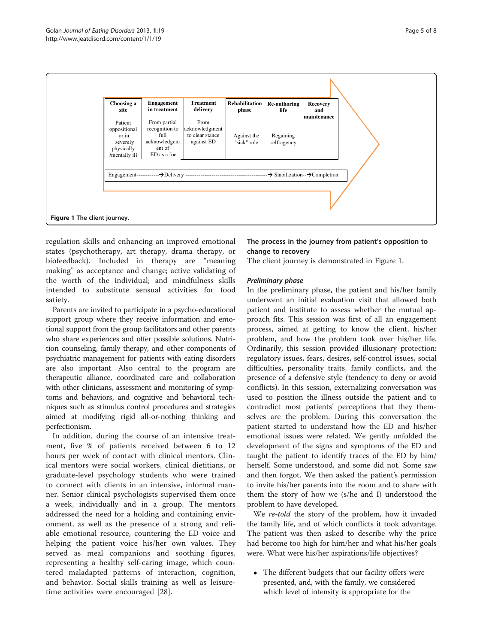<span id="page-4-0"></span>

regulation skills and enhancing an improved emotional states (psychotherapy, art therapy, drama therapy, or biofeedback). Included in therapy are "meaning making" as acceptance and change; active validating of the worth of the individual; and mindfulness skills intended to substitute sensual activities for food satiety.

Parents are invited to participate in a psycho-educational support group where they receive information and emotional support from the group facilitators and other parents who share experiences and offer possible solutions. Nutrition counseling, family therapy, and other components of psychiatric management for patients with eating disorders are also important. Also central to the program are therapeutic alliance, coordinated care and collaboration with other clinicians, assessment and monitoring of symptoms and behaviors, and cognitive and behavioral techniques such as stimulus control procedures and strategies aimed at modifying rigid all-or-nothing thinking and perfectionism.

In addition, during the course of an intensive treatment, five % of patients received between 6 to 12 hours per week of contact with clinical mentors. Clinical mentors were social workers, clinical dietitians, or graduate-level psychology students who were trained to connect with clients in an intensive, informal manner. Senior clinical psychologists supervised them once a week, individually and in a group. The mentors addressed the need for a holding and containing environment, as well as the presence of a strong and reliable emotional resource, countering the ED voice and helping the patient voice his/her own values. They served as meal companions and soothing figures, representing a healthy self-caring image, which countered maladapted patterns of interaction, cognition, and behavior. Social skills training as well as leisuretime activities were encouraged [\[28](#page-7-0)].

The process in the journey from patient's opposition to change to recovery

The client journey is demonstrated in Figure 1.

# Preliminary phase

In the preliminary phase, the patient and his/her family underwent an initial evaluation visit that allowed both patient and institute to assess whether the mutual approach fits. This session was first of all an engagement process, aimed at getting to know the client, his/her problem, and how the problem took over his/her life. Ordinarily, this session provided illusionary protection: regulatory issues, fears, desires, self-control issues, social difficulties, personality traits, family conflicts, and the presence of a defensive style (tendency to deny or avoid conflicts). In this session, externalizing conversation was used to position the illness outside the patient and to contradict most patients' perceptions that they themselves are the problem. During this conversation the patient started to understand how the ED and his/her emotional issues were related. We gently unfolded the development of the signs and symptoms of the ED and taught the patient to identify traces of the ED by him/ herself. Some understood, and some did not. Some saw and then forgot. We then asked the patient's permission to invite his/her parents into the room and to share with them the story of how we (s/he and I) understood the problem to have developed.

We re-told the story of the problem, how it invaded the family life, and of which conflicts it took advantage. The patient was then asked to describe why the price had become too high for him/her and what his/her goals were. What were his/her aspirations/life objectives?

• The different budgets that our facility offers were presented, and, with the family, we considered which level of intensity is appropriate for the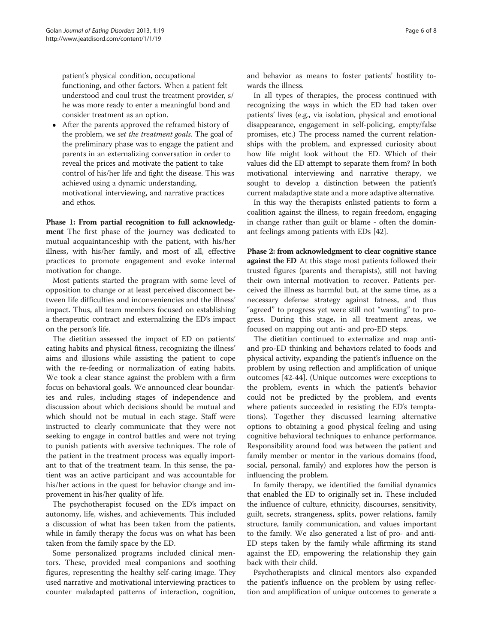patient's physical condition, occupational functioning, and other factors. When a patient felt understood and coul trust the treatment provider, s/ he was more ready to enter a meaningful bond and consider treatment as an option.

 After the parents approved the reframed history of the problem, we set the treatment goals. The goal of the preliminary phase was to engage the patient and parents in an externalizing conversation in order to reveal the prices and motivate the patient to take control of his/her life and fight the disease. This was achieved using a dynamic understanding, motivational interviewing, and narrative practices and ethos.

Phase 1: From partial recognition to full acknowledgment The first phase of the journey was dedicated to mutual acquaintanceship with the patient, with his/her illness, with his/her family, and most of all, effective practices to promote engagement and evoke internal motivation for change.

Most patients started the program with some level of opposition to change or at least perceived disconnect between life difficulties and inconveniencies and the illness' impact. Thus, all team members focused on establishing a therapeutic contract and externalizing the ED's impact on the person's life.

The dietitian assessed the impact of ED on patients' eating habits and physical fitness, recognizing the illness' aims and illusions while assisting the patient to cope with the re-feeding or normalization of eating habits. We took a clear stance against the problem with a firm focus on behavioral goals. We announced clear boundaries and rules, including stages of independence and discussion about which decisions should be mutual and which should not be mutual in each stage. Staff were instructed to clearly communicate that they were not seeking to engage in control battles and were not trying to punish patients with aversive techniques. The role of the patient in the treatment process was equally important to that of the treatment team. In this sense, the patient was an active participant and was accountable for his/her actions in the quest for behavior change and improvement in his/her quality of life.

The psychotherapist focused on the ED's impact on autonomy, life, wishes, and achievements. This included a discussion of what has been taken from the patients, while in family therapy the focus was on what has been taken from the family space by the ED.

Some personalized programs included clinical mentors. These, provided meal companions and soothing figures, representing the healthy self-caring image. They used narrative and motivational interviewing practices to counter maladapted patterns of interaction, cognition,

and behavior as means to foster patients' hostility towards the illness.

In all types of therapies, the process continued with recognizing the ways in which the ED had taken over patients' lives (e.g., via isolation, physical and emotional disappearance, engagement in self-policing, empty/false promises, etc.) The process named the current relationships with the problem, and expressed curiosity about how life might look without the ED. Which of their values did the ED attempt to separate them from? In both motivational interviewing and narrative therapy, we sought to develop a distinction between the patient's current maladaptive state and a more adaptive alternative.

In this way the therapists enlisted patients to form a coalition against the illness, to regain freedom, engaging in change rather than guilt or blame - often the dominant feelings among patients with EDs [[42](#page-7-0)].

Phase 2: from acknowledgment to clear cognitive stance against the ED At this stage most patients followed their trusted figures (parents and therapists), still not having their own internal motivation to recover. Patients perceived the illness as harmful but, at the same time, as a necessary defense strategy against fatness, and thus "agreed" to progress yet were still not "wanting" to progress. During this stage, in all treatment areas, we focused on mapping out anti- and pro-ED steps.

The dietitian continued to externalize and map antiand pro-ED thinking and behaviors related to foods and physical activity, expanding the patient's influence on the problem by using reflection and amplification of unique outcomes [[42](#page-7-0)-[44\]](#page-7-0). (Unique outcomes were exceptions to the problem, events in which the patient's behavior could not be predicted by the problem, and events where patients succeeded in resisting the ED's temptations). Together they discussed learning alternative options to obtaining a good physical feeling and using cognitive behavioral techniques to enhance performance. Responsibility around food was between the patient and family member or mentor in the various domains (food, social, personal, family) and explores how the person is influencing the problem.

In family therapy, we identified the familial dynamics that enabled the ED to originally set in. These included the influence of culture, ethnicity, discourses, sensitivity, guilt, secrets, strangeness, splits, power relations, family structure, family communication, and values important to the family. We also generated a list of pro- and anti-ED steps taken by the family while affirming its stand against the ED, empowering the relationship they gain back with their child.

Psychotherapists and clinical mentors also expanded the patient's influence on the problem by using reflection and amplification of unique outcomes to generate a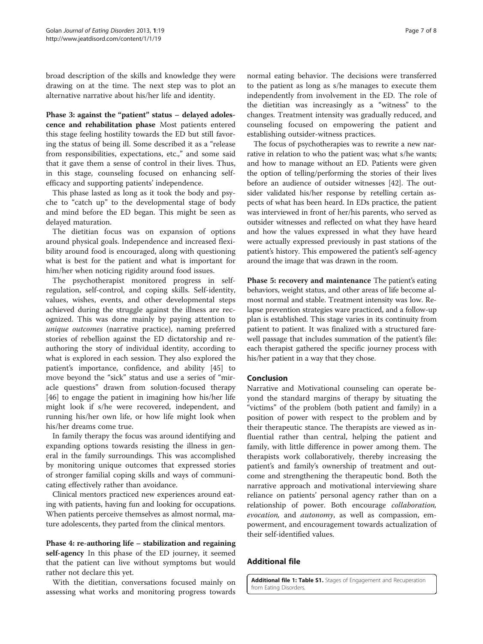<span id="page-6-0"></span>broad description of the skills and knowledge they were drawing on at the time. The next step was to plot an alternative narrative about his/her life and identity.

Phase 3: against the "patient" status – delayed adolescence and rehabilitation phase Most patients entered this stage feeling hostility towards the ED but still favoring the status of being ill. Some described it as a "release from responsibilities, expectations, etc.," and some said that it gave them a sense of control in their lives. Thus, in this stage, counseling focused on enhancing selfefficacy and supporting patients' independence.

This phase lasted as long as it took the body and psyche to "catch up" to the developmental stage of body and mind before the ED began. This might be seen as delayed maturation.

The dietitian focus was on expansion of options around physical goals. Independence and increased flexibility around food is encouraged, along with questioning what is best for the patient and what is important for him/her when noticing rigidity around food issues.

The psychotherapist monitored progress in selfregulation, self-control, and coping skills. Self-identity, values, wishes, events, and other developmental steps achieved during the struggle against the illness are recognized. This was done mainly by paying attention to unique outcomes (narrative practice), naming preferred stories of rebellion against the ED dictatorship and reauthoring the story of individual identity, according to what is explored in each session. They also explored the patient's importance, confidence, and ability [\[45](#page-7-0)] to move beyond the "sick" status and use a series of "miracle questions" drawn from solution-focused therapy [[46\]](#page-7-0) to engage the patient in imagining how his/her life might look if s/he were recovered, independent, and running his/her own life, or how life might look when his/her dreams come true.

In family therapy the focus was around identifying and expanding options towards resisting the illness in general in the family surroundings. This was accomplished by monitoring unique outcomes that expressed stories of stronger familial coping skills and ways of communicating effectively rather than avoidance.

Clinical mentors practiced new experiences around eating with patients, having fun and looking for occupations. When patients perceive themselves as almost normal, mature adolescents, they parted from the clinical mentors.

Phase 4: re-authoring life – stabilization and regaining self-agency In this phase of the ED journey, it seemed that the patient can live without symptoms but would rather not declare this yet.

With the dietitian, conversations focused mainly on assessing what works and monitoring progress towards normal eating behavior. The decisions were transferred

to the patient as long as s/he manages to execute them independently from involvement in the ED. The role of the dietitian was increasingly as a "witness" to the changes. Treatment intensity was gradually reduced, and counseling focused on empowering the patient and establishing outsider-witness practices.

The focus of psychotherapies was to rewrite a new narrative in relation to who the patient was; what s/he wants; and how to manage without an ED. Patients were given the option of telling/performing the stories of their lives before an audience of outsider witnesses [\[42\]](#page-7-0). The outsider validated his/her response by retelling certain aspects of what has been heard. In EDs practice, the patient was interviewed in front of her/his parents, who served as outsider witnesses and reflected on what they have heard and how the values expressed in what they have heard were actually expressed previously in past stations of the patient's history. This empowered the patient's self-agency around the image that was drawn in the room.

Phase 5: recovery and maintenance The patient's eating behaviors, weight status, and other areas of life become almost normal and stable. Treatment intensity was low. Relapse prevention strategies ware practiced, and a follow-up plan is established. This stage varies in its continuity from patient to patient. It was finalized with a structured farewell passage that includes summation of the patient's file: each therapist gathered the specific journey process with his/her patient in a way that they chose.

# Conclusion

Narrative and Motivational counseling can operate beyond the standard margins of therapy by situating the "victims" of the problem (both patient and family) in a position of power with respect to the problem and by their therapeutic stance. The therapists are viewed as influential rather than central, helping the patient and family, with little difference in power among them. The therapists work collaboratively, thereby increasing the patient's and family's ownership of treatment and outcome and strengthening the therapeutic bond. Both the narrative approach and motivational interviewing share reliance on patients' personal agency rather than on a relationship of power. Both encourage collaboration, evocation, and autonomy, as well as compassion, empowerment, and encouragement towards actualization of their self-identified values.

# Additional file

[Additional file 1: Table S1.](http://www.biomedcentral.com/content/supplementary/2050-2974-1-19-S1.docx) Stages of Engagement and Recuperation from Eating Disorders.